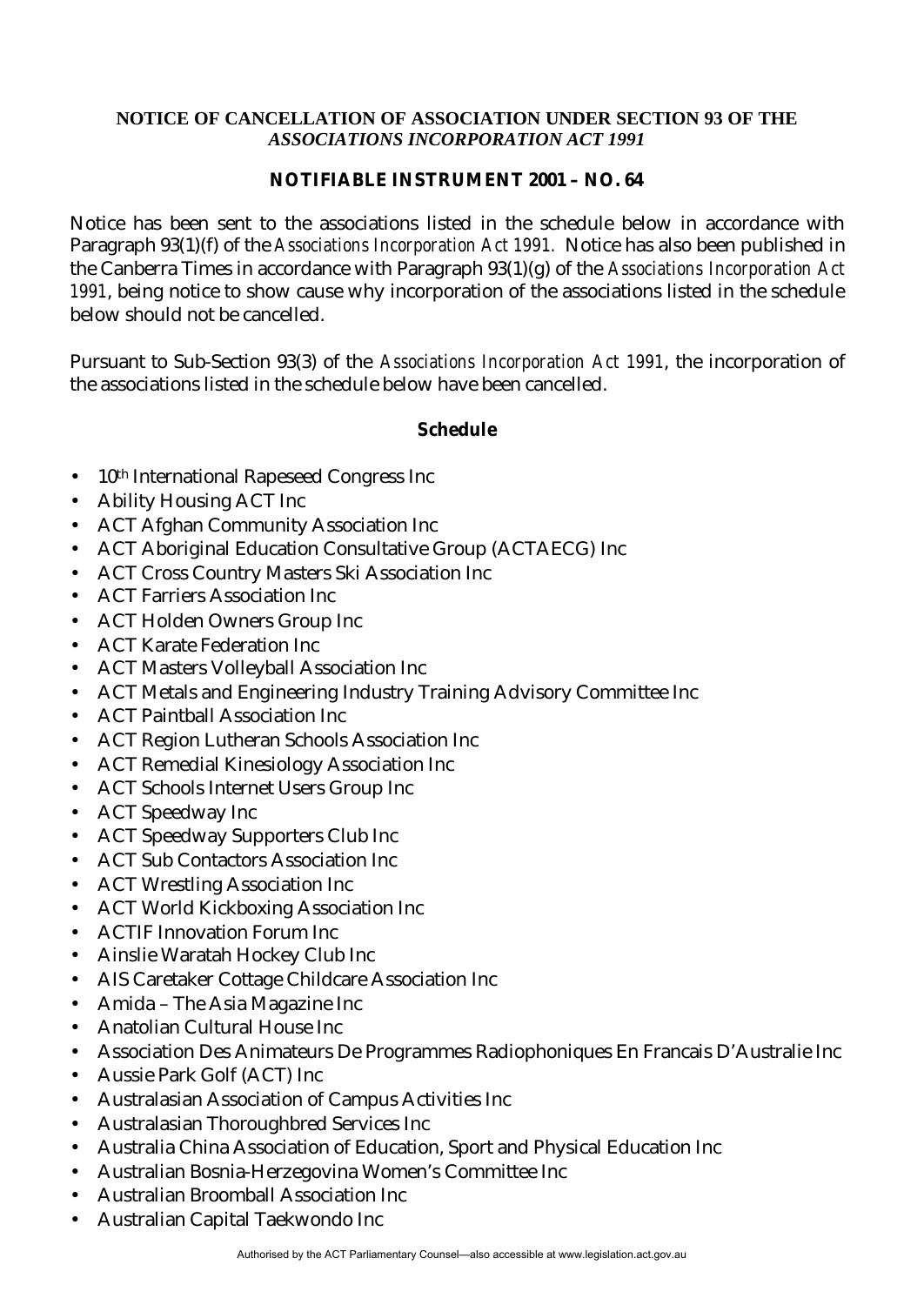## **NOTICE OF CANCELLATION OF ASSOCIATION UNDER SECTION 93 OF THE** *ASSOCIATIONS INCORPORATION ACT 1991*

## **NOTIFIABLE INSTRUMENT 2001 – NO. 64**

Notice has been sent to the associations listed in the schedule below in accordance with Paragraph 93(1)(f) of the *Associations Incorporation Act 1991.* Notice has also been published in the Canberra Times in accordance with Paragraph 93(1)(g) of the *Associations Incorporation Act 1991*, being notice to show cause why incorporation of the associations listed in the schedule below should not be cancelled.

Pursuant to Sub-Section 93(3) of the *Associations Incorporation Act 1991*, the incorporation of the associations listed in the schedule below have been cancelled.

## **Schedule**

- 10<sup>th</sup> International Rapeseed Congress Inc
- Ability Housing ACT Inc
- ACT Afghan Community Association Inc
- ACT Aboriginal Education Consultative Group (ACTAECG) Inc
- ACT Cross Country Masters Ski Association Inc
- ACT Farriers Association Inc
- ACT Holden Owners Group Inc
- ACT Karate Federation Inc
- ACT Masters Volleyball Association Inc
- ACT Metals and Engineering Industry Training Advisory Committee Inc
- ACT Paintball Association Inc
- ACT Region Lutheran Schools Association Inc
- ACT Remedial Kinesiology Association Inc
- ACT Schools Internet Users Group Inc
- ACT Speedway Inc
- ACT Speedway Supporters Club Inc
- ACT Sub Contactors Association Inc
- ACT Wrestling Association Inc
- ACT World Kickboxing Association Inc
- ACTIF Innovation Forum Inc
- Ainslie Waratah Hockey Club Inc
- AIS Caretaker Cottage Childcare Association Inc
- Amida The Asia Magazine Inc
- Anatolian Cultural House Inc
- Association Des Animateurs De Programmes Radiophoniques En Francais D'Australie Inc
- Aussie Park Golf (ACT) Inc
- Australasian Association of Campus Activities Inc
- Australasian Thoroughbred Services Inc
- Australia China Association of Education, Sport and Physical Education Inc
- Australian Bosnia-Herzegovina Women's Committee Inc
- Australian Broomball Association Inc
- Australian Capital Taekwondo Inc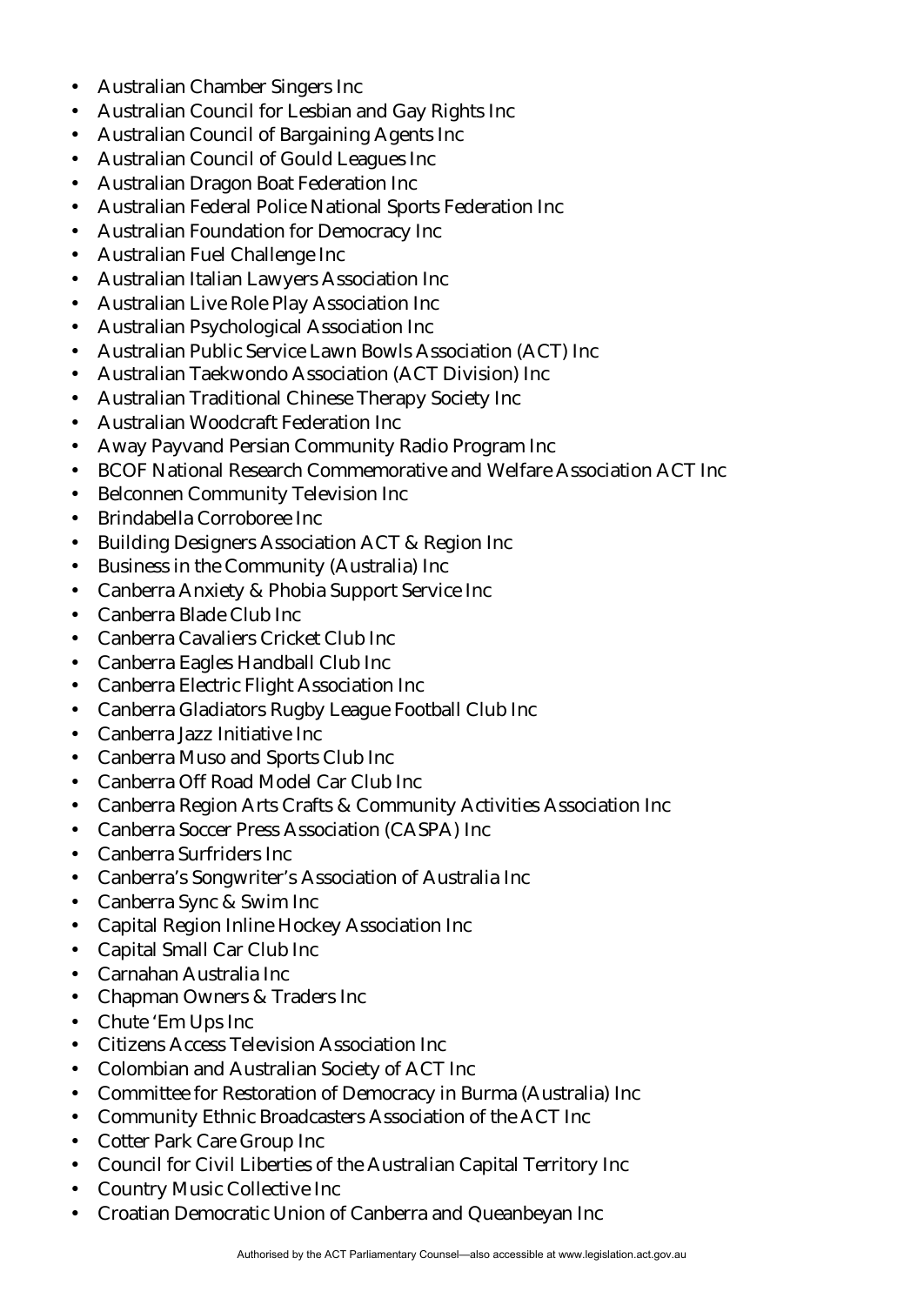- Australian Chamber Singers Inc
- Australian Council for Lesbian and Gay Rights Inc
- Australian Council of Bargaining Agents Inc
- Australian Council of Gould Leagues Inc
- Australian Dragon Boat Federation Inc
- Australian Federal Police National Sports Federation Inc
- Australian Foundation for Democracy Inc
- Australian Fuel Challenge Inc
- Australian Italian Lawyers Association Inc
- Australian Live Role Play Association Inc
- Australian Psychological Association Inc
- Australian Public Service Lawn Bowls Association (ACT) Inc
- Australian Taekwondo Association (ACT Division) Inc
- Australian Traditional Chinese Therapy Society Inc
- Australian Woodcraft Federation Inc
- Away Payvand Persian Community Radio Program Inc
- BCOF National Research Commemorative and Welfare Association ACT Inc
- Belconnen Community Television Inc
- Brindabella Corroboree Inc
- Building Designers Association ACT & Region Inc
- Business in the Community (Australia) Inc
- Canberra Anxiety & Phobia Support Service Inc
- Canberra Blade Club Inc
- Canberra Cavaliers Cricket Club Inc
- Canberra Eagles Handball Club Inc
- Canberra Electric Flight Association Inc
- Canberra Gladiators Rugby League Football Club Inc
- Canberra Jazz Initiative Inc
- Canberra Muso and Sports Club Inc
- Canberra Off Road Model Car Club Inc
- Canberra Region Arts Crafts & Community Activities Association Inc
- Canberra Soccer Press Association (CASPA) Inc
- Canberra Surfriders Inc
- Canberra's Songwriter's Association of Australia Inc
- Canberra Sync & Swim Inc
- Capital Region Inline Hockey Association Inc
- Capital Small Car Club Inc
- Carnahan Australia Inc
- Chapman Owners & Traders Inc
- Chute 'Em Ups Inc
- Citizens Access Television Association Inc
- Colombian and Australian Society of ACT Inc
- Committee for Restoration of Democracy in Burma (Australia) Inc
- Community Ethnic Broadcasters Association of the ACT Inc
- Cotter Park Care Group Inc
- Council for Civil Liberties of the Australian Capital Territory Inc
- Country Music Collective Inc
- Croatian Democratic Union of Canberra and Queanbeyan Inc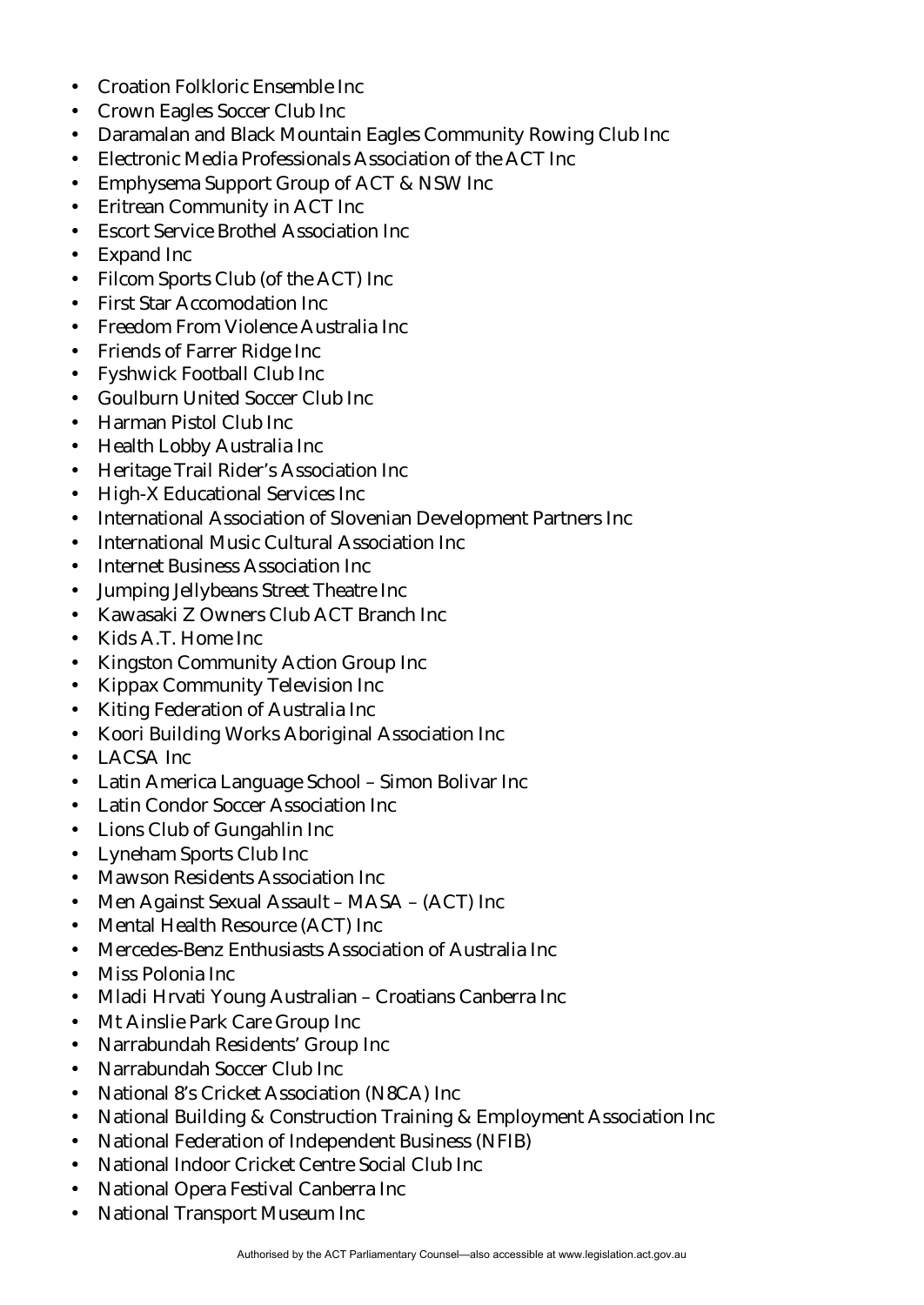- Croation Folkloric Ensemble Inc
- Crown Eagles Soccer Club Inc
- Daramalan and Black Mountain Eagles Community Rowing Club Inc
- Electronic Media Professionals Association of the ACT Inc
- Emphysema Support Group of ACT & NSW Inc
- Eritrean Community in ACT Inc
- Escort Service Brothel Association Inc
- Expand Inc
- Filcom Sports Club (of the ACT) Inc
- First Star Accomodation Inc
- Freedom From Violence Australia Inc
- Friends of Farrer Ridge Inc
- Fyshwick Football Club Inc
- Goulburn United Soccer Club Inc
- Harman Pistol Club Inc
- Health Lobby Australia Inc
- Heritage Trail Rider's Association Inc
- High-X Educational Services Inc
- International Association of Slovenian Development Partners Inc
- International Music Cultural Association Inc
- Internet Business Association Inc
- Jumping Jellybeans Street Theatre Inc
- Kawasaki Z Owners Club ACT Branch Inc
- Kids A.T. Home Inc
- Kingston Community Action Group Inc
- Kippax Community Television Inc
- Kiting Federation of Australia Inc
- Koori Building Works Aboriginal Association Inc
- LACSA Inc
- Latin America Language School Simon Bolivar Inc
- Latin Condor Soccer Association Inc
- Lions Club of Gungahlin Inc
- Lyneham Sports Club Inc
- Mawson Residents Association Inc
- Men Against Sexual Assault MASA (ACT) Inc
- Mental Health Resource (ACT) Inc
- Mercedes-Benz Enthusiasts Association of Australia Inc
- Miss Polonia Inc
- Mladi Hrvati Young Australian Croatians Canberra Inc
- Mt Ainslie Park Care Group Inc
- Narrabundah Residents' Group Inc
- Narrabundah Soccer Club Inc
- National 8's Cricket Association (N8CA) Inc
- National Building & Construction Training & Employment Association Inc
- National Federation of Independent Business (NFIB)
- National Indoor Cricket Centre Social Club Inc
- National Opera Festival Canberra Inc
- National Transport Museum Inc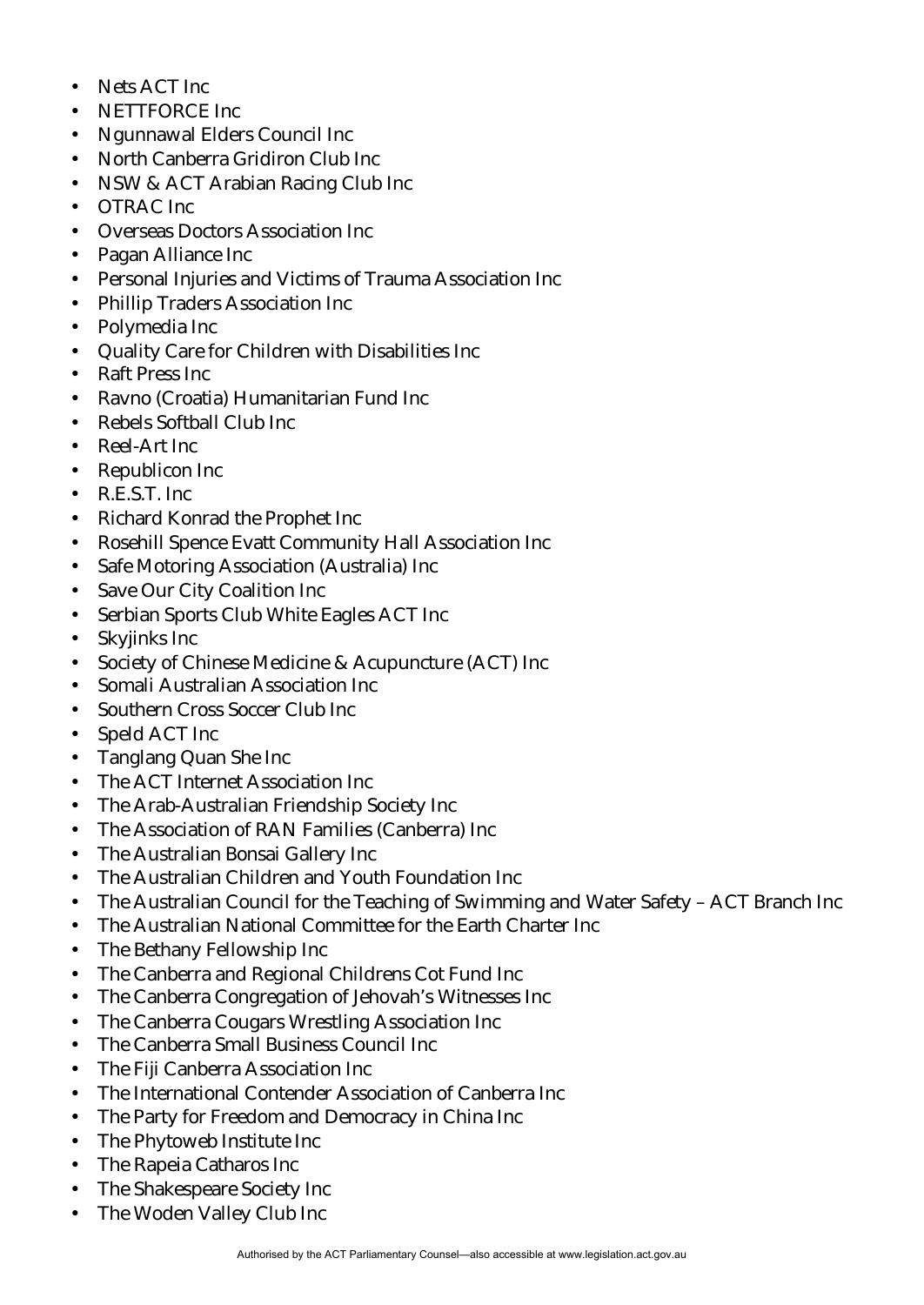- Nets ACT Inc.
- NETTFORCE Inc
- Ngunnawal Elders Council Inc
- North Canberra Gridiron Club Inc
- NSW & ACT Arabian Racing Club Inc
- OTRAC Inc
- Overseas Doctors Association Inc
- Pagan Alliance Inc
- Personal Injuries and Victims of Trauma Association Inc
- Phillip Traders Association Inc
- Polymedia Inc
- Quality Care for Children with Disabilities Inc
- Raft Press Inc
- Ravno (Croatia) Humanitarian Fund Inc
- Rebels Softball Club Inc
- Reel-Art Inc
- Republicon Inc
- R.E.S.T. Inc
- Richard Konrad the Prophet Inc
- Rosehill Spence Evatt Community Hall Association Inc
- Safe Motoring Association (Australia) Inc
- Save Our City Coalition Inc
- Serbian Sports Club White Eagles ACT Inc
- Skyjinks Inc
- Society of Chinese Medicine & Acupuncture (ACT) Inc
- Somali Australian Association Inc
- Southern Cross Soccer Club Inc
- Speld ACT Inc
- Tanglang Quan She Inc
- The ACT Internet Association Inc
- The Arab-Australian Friendship Society Inc
- The Association of RAN Families (Canberra) Inc
- The Australian Bonsai Gallery Inc
- The Australian Children and Youth Foundation Inc
- The Australian Council for the Teaching of Swimming and Water Safety ACT Branch Inc
- The Australian National Committee for the Earth Charter Inc
- The Bethany Fellowship Inc
- The Canberra and Regional Childrens Cot Fund Inc
- The Canberra Congregation of Jehovah's Witnesses Inc
- The Canberra Cougars Wrestling Association Inc
- The Canberra Small Business Council Inc
- The Fiji Canberra Association Inc
- The International Contender Association of Canberra Inc
- The Party for Freedom and Democracy in China Inc
- The Phytoweb Institute Inc
- The Rapeia Catharos Inc
- The Shakespeare Society Inc
- The Woden Valley Club Inc